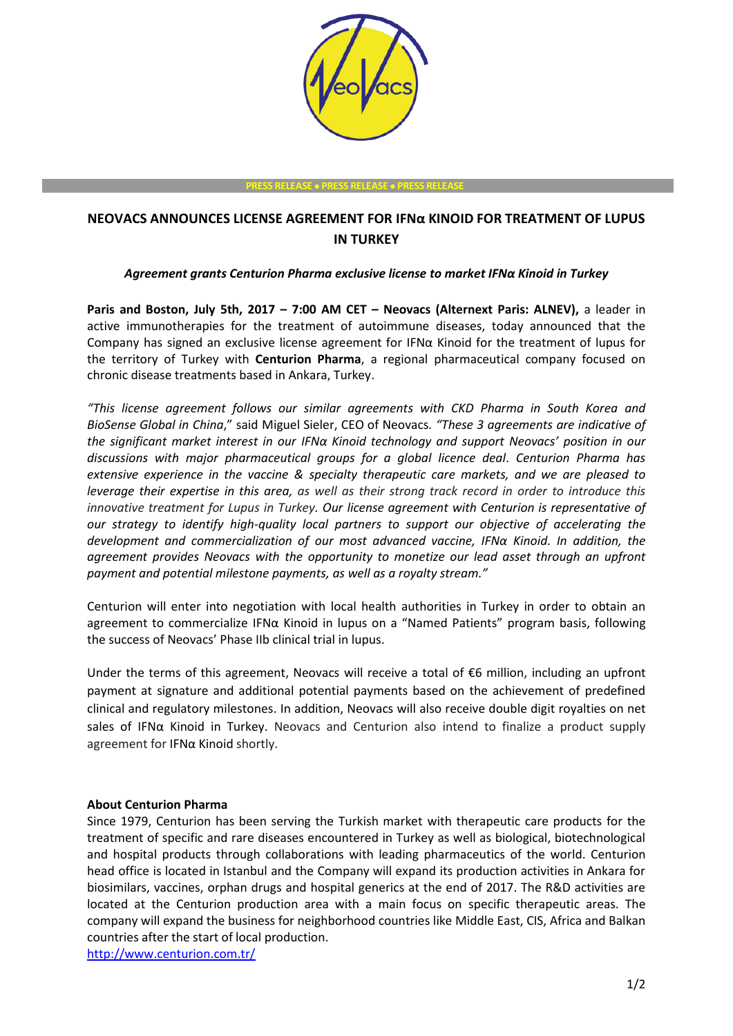

#### **PRESS RELEASE PRESS RELEASE PRESS RELEASE**

# **NEOVACS ANNOUNCES LICENSE AGREEMENT FOR IFNα KINOID FOR TREATMENT OF LUPUS IN TURKEY**

# *Agreement grants Centurion Pharma exclusive license to market IFNα Kinoid in Turkey*

**Paris and Boston, July 5th, 2017 – 7:00 AM CET – Neovacs (Alternext Paris: ALNEV),** a leader in active immunotherapies for the treatment of autoimmune diseases, today announced that the Company has signed an exclusive license agreement for IFNα Kinoid for the treatment of lupus for the territory of Turkey with **Centurion Pharma**, a regional pharmaceutical company focused on chronic disease treatments based in Ankara, Turkey.

*"This license agreement follows our similar agreements with CKD Pharma in South Korea and BioSense Global in China*," said Miguel Sieler, CEO of Neovacs*. "These 3 agreements are indicative of the significant market interest in our IFNα Kinoid technology and support Neovacs' position in our discussions with major pharmaceutical groups for a global licence deal*. *Centurion Pharma has extensive experience in the vaccine & specialty therapeutic care markets, and we are pleased to leverage their expertise in this area, as well as their strong track record in order to introduce this innovative treatment for Lupus in Turkey. Our license agreement with Centurion is representative of our strategy to identify high-quality local partners to support our objective of accelerating the development and commercialization of our most advanced vaccine, IFNα Kinoid. In addition, the agreement provides Neovacs with the opportunity to monetize our lead asset through an upfront payment and potential milestone payments, as well as a royalty stream."*

Centurion will enter into negotiation with local health authorities in Turkey in order to obtain an agreement to commercialize IFNα Kinoid in lupus on a "Named Patients" program basis, following the success of Neovacs' Phase IIb clinical trial in lupus.

Under the terms of this agreement, Neovacs will receive a total of €6 million, including an upfront payment at signature and additional potential payments based on the achievement of predefined clinical and regulatory milestones. In addition, Neovacs will also receive double digit royalties on net sales of IFNα Kinoid in Turkey. Neovacs and Centurion also intend to finalize a product supply agreement for IFNα Kinoid shortly.

### **About Centurion Pharma**

Since 1979, Centurion has been serving the Turkish market with therapeutic care products for the treatment of specific and rare diseases encountered in Turkey as well as biological, biotechnological and hospital products through collaborations with leading pharmaceutics of the world. Centurion head office is located in Istanbul and the Company will expand its production activities in Ankara for biosimilars, vaccines, orphan drugs and hospital generics at the end of 2017. The R&D activities are located at the Centurion production area with a main focus on specific therapeutic areas. The company will expand the business for neighborhood countries like Middle East, CIS, Africa and Balkan countries after the start of local production.

<http://www.centurion.com.tr/>